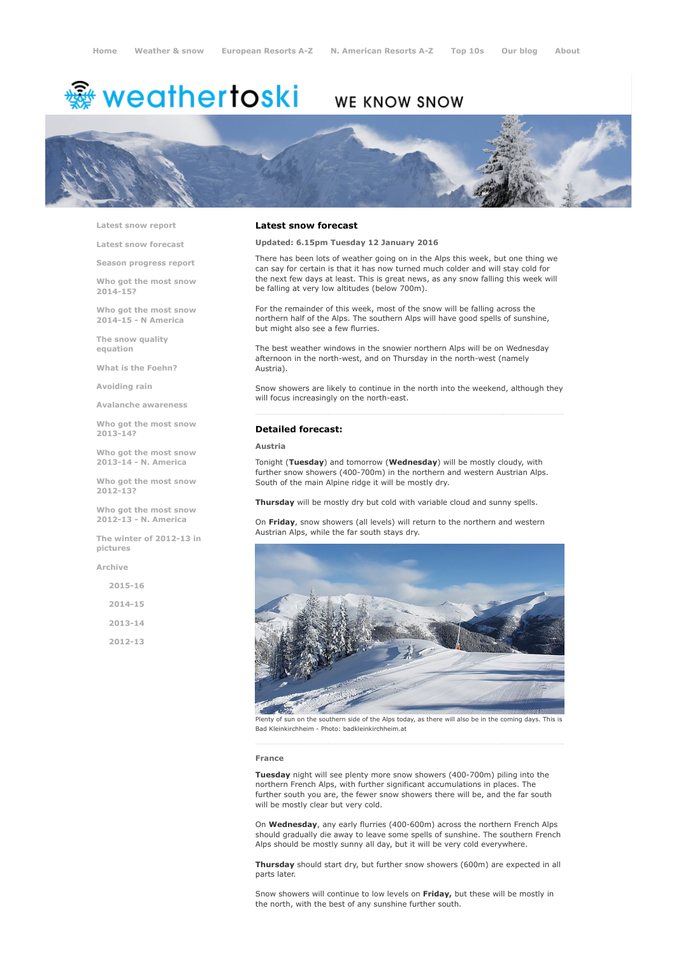# <sup>鑫</sup> weathertoski

# WE KNOW SNOW



Latest snow [report](http://www.weathertoski.co.uk/weather-snow/latest-snow-report/)

Latest snow [forecast](http://www.weathertoski.co.uk/weather-snow/latest-snow-forecast/)

Season [progress](http://www.weathertoski.co.uk/weather-snow/season-progress-report/) report

Who got the most snow 2014-15?

Who got the most snow 2014-15 - N America

The snow quality [equation](http://www.weathertoski.co.uk/weather-snow/the-snow-quality-equation/)

What is the [Foehn?](http://www.weathertoski.co.uk/weather-snow/what-is-the-foehn/)

[Avoiding](http://www.weathertoski.co.uk/weather-snow/avoiding-rain/) rain

Avalanche [awareness](http://www.weathertoski.co.uk/weather-snow/avalanche-awareness/)

Who got the most snow 2013-14?

Who got the most snow 2013-14 - N. America

Who got the most snow 2012-13?

Who got the most snow 2012-13 - N. America

The winter of 2012-13 in pictures

[Archive](http://www.weathertoski.co.uk/weather-snow/archive/)

2015-16 2014-15 2013-14 2012-13

### Latest snow forecast

Updated: 6.15pm Tuesday 12 January 2016

There has been lots of weather going on in the Alps this week, but one thing we can say for certain is that it has now turned much colder and will stay cold for the next few days at least. This is great news, as any snow falling this week will be falling at very low altitudes (below 700m).

For the remainder of this week, most of the snow will be falling across the northern half of the Alps. The southern Alps will have good spells of sunshine, but might also see a few flurries.

The best weather windows in the snowier northern Alps will be on Wednesday afternoon in the north-west, and on Thursday in the north-west (namely Austria).

Snow showers are likely to continue in the north into the weekend, although they will focus increasingly on the north-east.

### Detailed forecast:

# Austria

Tonight (Tuesday) and tomorrow (Wednesday) will be mostly cloudy, with further snow showers (400-700m) in the northern and western Austrian Alps. South of the main Alpine ridge it will be mostly dry.

Thursday will be mostly dry but cold with variable cloud and sunny spells.

On Friday, snow showers (all levels) will return to the northern and western Austrian Alps, while the far south stays dry.



Plenty of sun on the southern side of the Alps today, as there will also be in the coming days. This is Bad Kleinkirchheim Photo: badkleinkirchheim.at

#### France

Tuesday night will see plenty more snow showers (400-700m) piling into the northern French Alps, with further significant accumulations in places. The further south you are, the fewer snow showers there will be, and the far south will be mostly clear but very cold.

On Wednesday, any early flurries (400-600m) across the northern French Alps should gradually die away to leave some spells of sunshine. The southern French Alps should be mostly sunny all day, but it will be very cold everywhere.

Thursday should start dry, but further snow showers (600m) are expected in all parts later.

Snow showers will continue to low levels on Friday, but these will be mostly in the north, with the best of any sunshine further south.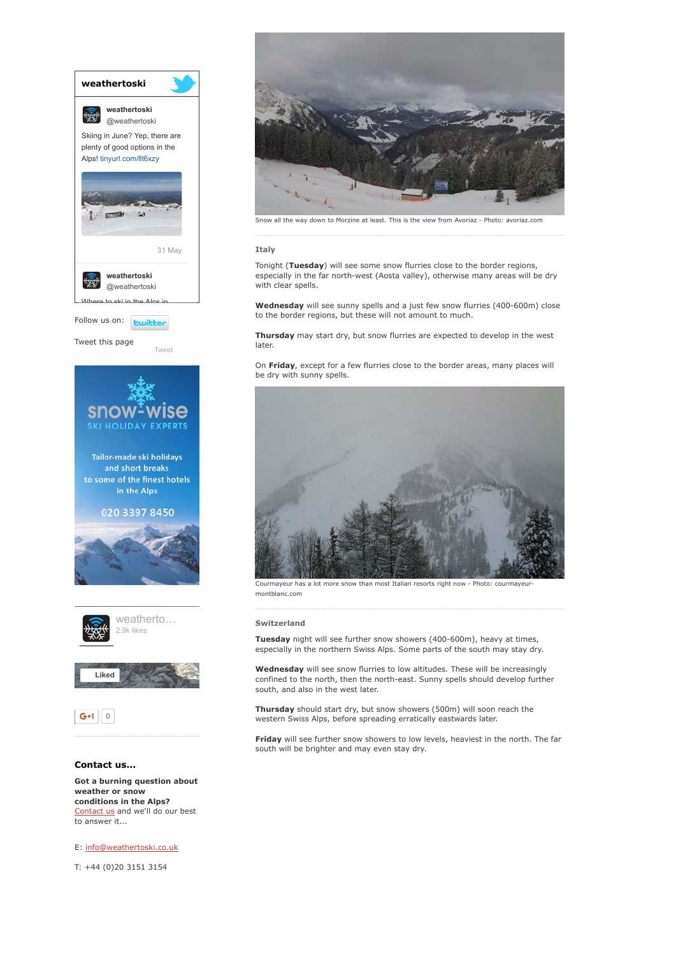

[Contact](http://www.weathertoski.co.uk/about-1/contact-us/) us and we'll do our best to answer it...

E: [info@weathertoski.co.uk](mailto:fraser@weathertoski.co.uk)

T: +44 (0)20 3151 3154



Snow all the way down to Morzine at least. This is the view from Avoriaz - Photo: avoriaz.com

#### Italy

Tonight (Tuesday) will see some snow flurries close to the border regions, especially in the far north-west (Aosta valley), otherwise many areas will be dry with clear spells.

Wednesday will see sunny spells and a just few snow flurries (400-600m) close to the border regions, but these will not amount to much.

Thursday may start dry, but snow flurries are expected to develop in the west later.

On Friday, except for a few flurries close to the border areas, many places will be dry with sunny spells.



Courmayeur has a lot more snow than most Italian resorts right now - Photo: courmayeu montblanc.com

# Switzerland

Tuesday night will see further snow showers (400-600m), heavy at times, especially in the northern Swiss Alps. Some parts of the south may stay dry.

Wednesday will see snow flurries to low altitudes. These will be increasingly confined to the north, then the north-east. Sunny spells should develop further south, and also in the west later.

Thursday should start dry, but snow showers (500m) will soon reach the western Swiss Alps, before spreading erratically eastwards later.

Friday will see further snow showers to low levels, heaviest in the north. The far south will be brighter and may even stay dry.